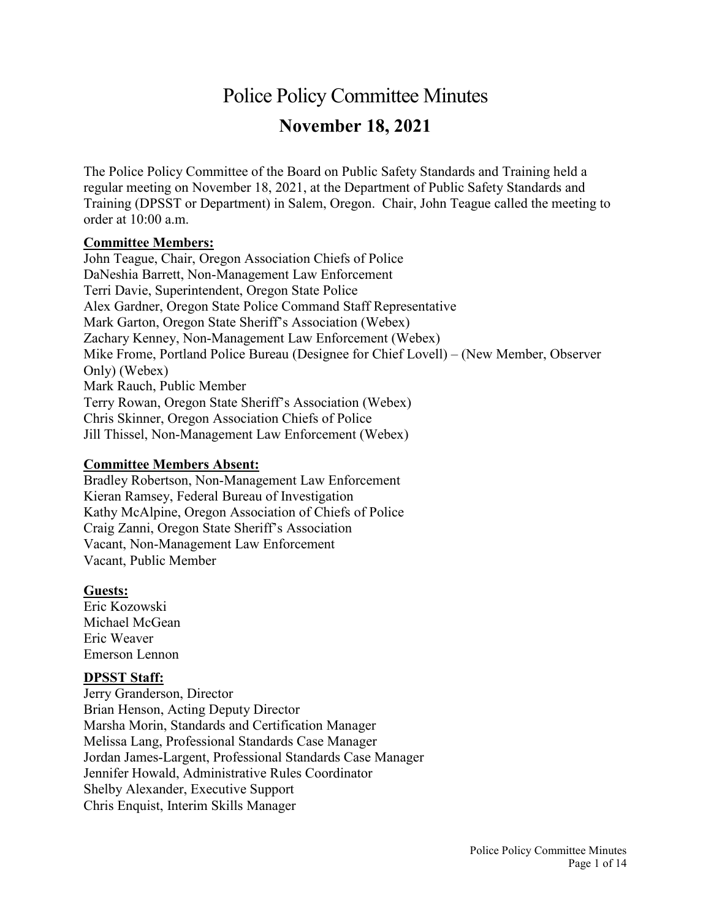# Police Policy Committee Minutes **November 18, 2021**

The Police Policy Committee of the Board on Public Safety Standards and Training held a regular meeting on November 18, 2021, at the Department of Public Safety Standards and Training (DPSST or Department) in Salem, Oregon. Chair, John Teague called the meeting to order at 10:00 a.m.

#### **Committee Members:**

John Teague, Chair, Oregon Association Chiefs of Police DaNeshia Barrett, Non-Management Law Enforcement Terri Davie, Superintendent, Oregon State Police Alex Gardner, Oregon State Police Command Staff Representative Mark Garton, Oregon State Sheriff's Association (Webex) Zachary Kenney, Non-Management Law Enforcement (Webex) Mike Frome, Portland Police Bureau (Designee for Chief Lovell) – (New Member, Observer Only) (Webex) Mark Rauch, Public Member Terry Rowan, Oregon State Sheriff's Association (Webex) Chris Skinner, Oregon Association Chiefs of Police Jill Thissel, Non-Management Law Enforcement (Webex)

#### **Committee Members Absent:**

Bradley Robertson, Non-Management Law Enforcement Kieran Ramsey, Federal Bureau of Investigation Kathy McAlpine, Oregon Association of Chiefs of Police Craig Zanni, Oregon State Sheriff's Association Vacant, Non-Management Law Enforcement Vacant, Public Member

#### **Guests:**

Eric Kozowski Michael McGean Eric Weaver Emerson Lennon

#### **DPSST Staff:**

Jerry Granderson, Director Brian Henson, Acting Deputy Director Marsha Morin, Standards and Certification Manager Melissa Lang, Professional Standards Case Manager Jordan James-Largent, Professional Standards Case Manager Jennifer Howald, Administrative Rules Coordinator Shelby Alexander, Executive Support Chris Enquist, Interim Skills Manager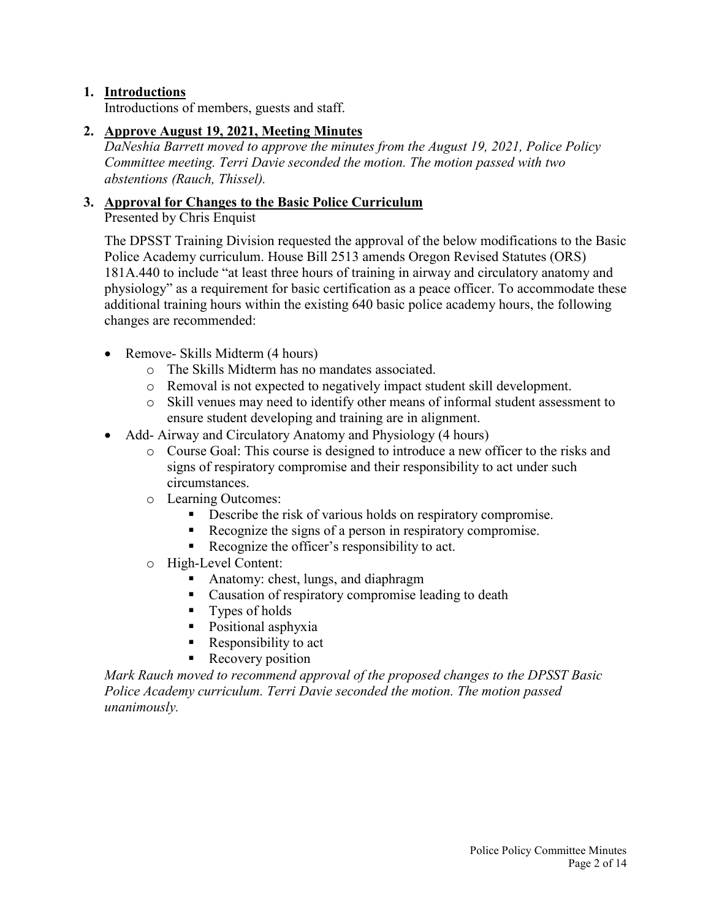#### **1. Introductions**

Introductions of members, guests and staff.

#### **2. Approve August 19, 2021, Meeting Minutes**

*DaNeshia Barrett moved to approve the minutes from the August 19, 2021, Police Policy Committee meeting. Terri Davie seconded the motion. The motion passed with two abstentions (Rauch, Thissel).*

# **3. Approval for Changes to the Basic Police Curriculum**

Presented by Chris Enquist

The DPSST Training Division requested the approval of the below modifications to the Basic Police Academy curriculum. House Bill 2513 amends Oregon Revised Statutes (ORS) 181A.440 to include "at least three hours of training in airway and circulatory anatomy and physiology" as a requirement for basic certification as a peace officer. To accommodate these additional training hours within the existing 640 basic police academy hours, the following changes are recommended:

- Remove- Skills Midterm (4 hours)
	- o The Skills Midterm has no mandates associated.
	- o Removal is not expected to negatively impact student skill development.
	- o Skill venues may need to identify other means of informal student assessment to ensure student developing and training are in alignment.
- Add- Airway and Circulatory Anatomy and Physiology (4 hours)
	- o Course Goal: This course is designed to introduce a new officer to the risks and signs of respiratory compromise and their responsibility to act under such circumstances.
	- o Learning Outcomes:
		- Describe the risk of various holds on respiratory compromise.
		- Recognize the signs of a person in respiratory compromise.
		- Recognize the officer's responsibility to act.
	- o High-Level Content:
		- Anatomy: chest, lungs, and diaphragm
		- Causation of respiratory compromise leading to death
		- **Types of holds**
		- Positional asphyxia
		- Responsibility to act
		- Recovery position

*Mark Rauch moved to recommend approval of the proposed changes to the DPSST Basic Police Academy curriculum. Terri Davie seconded the motion. The motion passed unanimously.*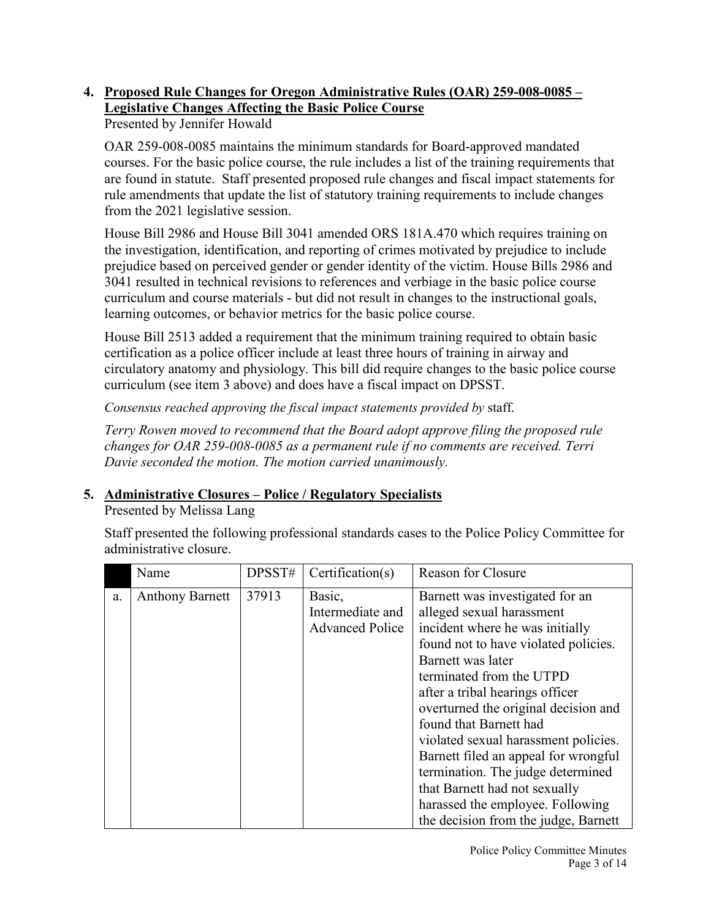# **4. Proposed Rule Changes for Oregon Administrative Rules (OAR) 259-008-0085 – Legislative Changes Affecting the Basic Police Course**

Presented by Jennifer Howald

OAR 259-008-0085 maintains the minimum standards for Board-approved mandated courses. For the basic police course, the rule includes a list of the training requirements that are found in statute. Staff presented proposed rule changes and fiscal impact statements for rule amendments that update the list of statutory training requirements to include changes from the 2021 legislative session.

House Bill 2986 and House Bill 3041 amended ORS 181A.470 which requires training on the investigation, identification, and reporting of crimes motivated by prejudice to include prejudice based on perceived gender or gender identity of the victim. House Bills 2986 and 3041 resulted in technical revisions to references and verbiage in the basic police course curriculum and course materials - but did not result in changes to the instructional goals, learning outcomes, or behavior metrics for the basic police course.

House Bill 2513 added a requirement that the minimum training required to obtain basic certification as a police officer include at least three hours of training in airway and circulatory anatomy and physiology. This bill did require changes to the basic police course curriculum (see item 3 above) and does have a fiscal impact on DPSST.

*Consensus reached approving the fiscal impact statements provided by* staff.

*Terry Rowen moved to recommend that the Board adopt approve filing the proposed rule changes for OAR 259-008-0085 as a permanent rule if no comments are received. Terri Davie seconded the motion. The motion carried unanimously.*

# **5. Administrative Closures – Police / Regulatory Specialists**

Presented by Melissa Lang

Staff presented the following professional standards cases to the Police Policy Committee for administrative closure.

|    | Name                   | DPSST# | Certification(s)                                     | <b>Reason for Closure</b>                                                                                                                                                                                                                                                                                                                                                                                                                                                                                                       |
|----|------------------------|--------|------------------------------------------------------|---------------------------------------------------------------------------------------------------------------------------------------------------------------------------------------------------------------------------------------------------------------------------------------------------------------------------------------------------------------------------------------------------------------------------------------------------------------------------------------------------------------------------------|
| a. | <b>Anthony Barnett</b> | 37913  | Basic,<br>Intermediate and<br><b>Advanced Police</b> | Barnett was investigated for an<br>alleged sexual harassment<br>incident where he was initially<br>found not to have violated policies.<br>Barnett was later<br>terminated from the UTPD<br>after a tribal hearings officer<br>overturned the original decision and<br>found that Barnett had<br>violated sexual harassment policies.<br>Barnett filed an appeal for wrongful<br>termination. The judge determined<br>that Barnett had not sexually<br>harassed the employee. Following<br>the decision from the judge, Barnett |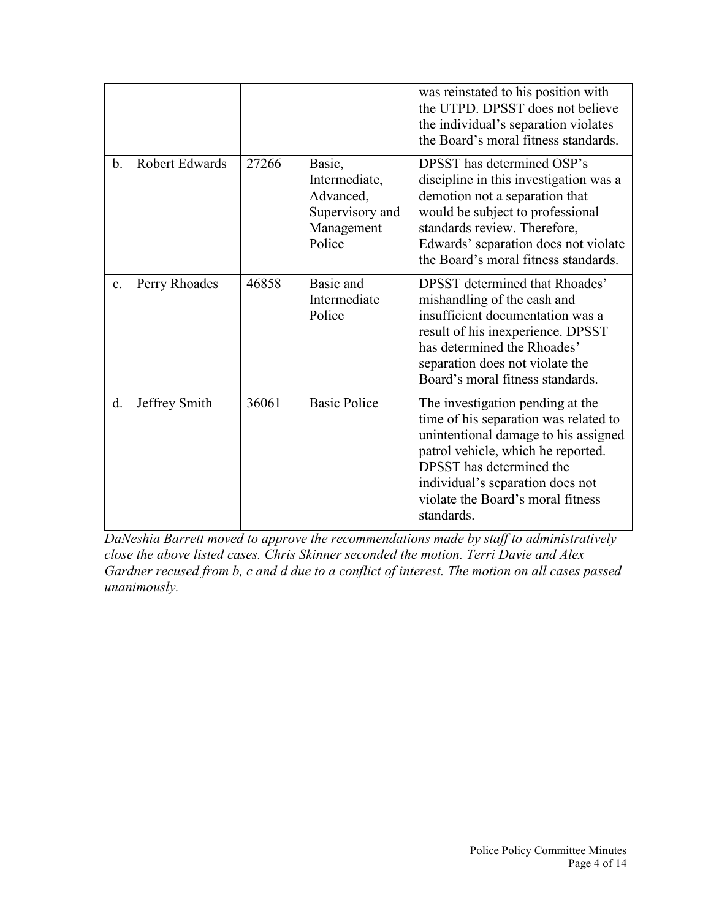|       |                       |       |                                                                                 | was reinstated to his position with<br>the UTPD. DPSST does not believe<br>the individual's separation violates<br>the Board's moral fitness standards.                                                                                                                    |
|-------|-----------------------|-------|---------------------------------------------------------------------------------|----------------------------------------------------------------------------------------------------------------------------------------------------------------------------------------------------------------------------------------------------------------------------|
| $b$ . | <b>Robert Edwards</b> | 27266 | Basic,<br>Intermediate,<br>Advanced,<br>Supervisory and<br>Management<br>Police | DPSST has determined OSP's<br>discipline in this investigation was a<br>demotion not a separation that<br>would be subject to professional<br>standards review. Therefore,<br>Edwards' separation does not violate<br>the Board's moral fitness standards.                 |
| c.    | Perry Rhoades         | 46858 | Basic and<br>Intermediate<br>Police                                             | <b>DPSST</b> determined that Rhoades'<br>mishandling of the cash and<br>insufficient documentation was a<br>result of his inexperience. DPSST<br>has determined the Rhoades'<br>separation does not violate the<br>Board's moral fitness standards.                        |
| d.    | Jeffrey Smith         | 36061 | <b>Basic Police</b>                                                             | The investigation pending at the<br>time of his separation was related to<br>unintentional damage to his assigned<br>patrol vehicle, which he reported.<br>DPSST has determined the<br>individual's separation does not<br>violate the Board's moral fitness<br>standards. |

*DaNeshia Barrett moved to approve the recommendations made by staff to administratively close the above listed cases. Chris Skinner seconded the motion. Terri Davie and Alex Gardner recused from b, c and d due to a conflict of interest. The motion on all cases passed unanimously.*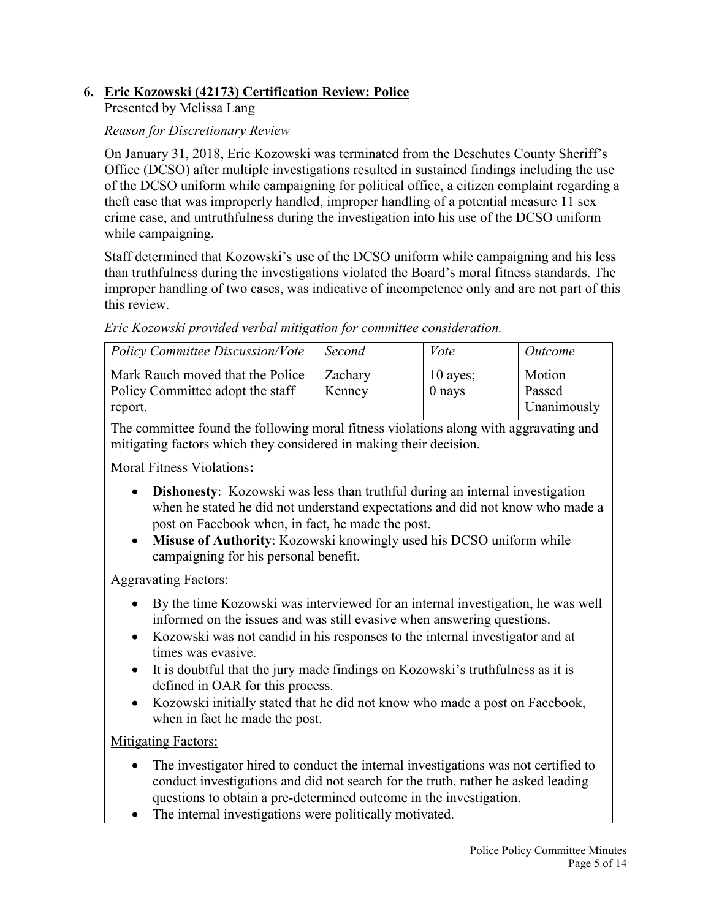# **6. Eric Kozowski (42173) Certification Review: Police**

Presented by Melissa Lang

#### *Reason for Discretionary Review*

On January 31, 2018, Eric Kozowski was terminated from the Deschutes County Sheriff's Office (DCSO) after multiple investigations resulted in sustained findings including the use of the DCSO uniform while campaigning for political office, a citizen complaint regarding a theft case that was improperly handled, improper handling of a potential measure 11 sex crime case, and untruthfulness during the investigation into his use of the DCSO uniform while campaigning.

Staff determined that Kozowski's use of the DCSO uniform while campaigning and his less than truthfulness during the investigations violated the Board's moral fitness standards. The improper handling of two cases, was indicative of incompetence only and are not part of this this review.

*Eric Kozowski provided verbal mitigation for committee consideration.*

| <b>Policy Committee Discussion/Vote</b>                                         | Second            | Vote                   | Outcome                         |
|---------------------------------------------------------------------------------|-------------------|------------------------|---------------------------------|
| Mark Rauch moved that the Police<br>Policy Committee adopt the staff<br>report. | Zachary<br>Kenney | $10$ ayes;<br>$0$ nays | Motion<br>Passed<br>Unanimously |

The committee found the following moral fitness violations along with aggravating and mitigating factors which they considered in making their decision.

Moral Fitness Violations**:**

- **Dishonesty**: Kozowski was less than truthful during an internal investigation when he stated he did not understand expectations and did not know who made a post on Facebook when, in fact, he made the post.
- **Misuse of Authority**: Kozowski knowingly used his DCSO uniform while campaigning for his personal benefit.

Aggravating Factors:

- By the time Kozowski was interviewed for an internal investigation, he was well informed on the issues and was still evasive when answering questions.
- Kozowski was not candid in his responses to the internal investigator and at times was evasive.
- It is doubtful that the jury made findings on Kozowski's truthfulness as it is defined in OAR for this process.
- Kozowski initially stated that he did not know who made a post on Facebook, when in fact he made the post.

Mitigating Factors:

- The investigator hired to conduct the internal investigations was not certified to conduct investigations and did not search for the truth, rather he asked leading questions to obtain a pre-determined outcome in the investigation.
- The internal investigations were politically motivated.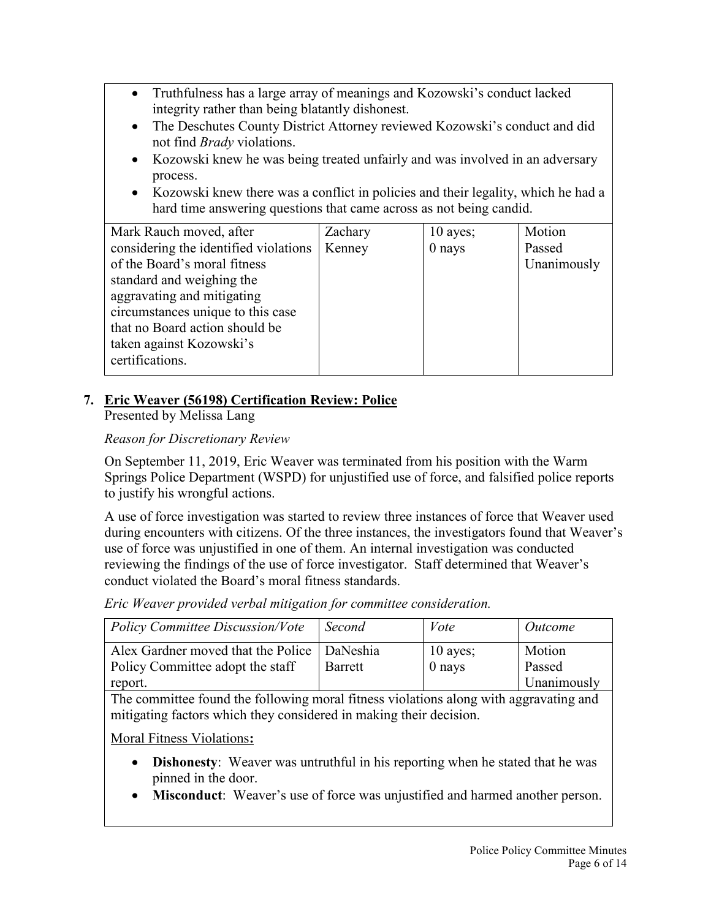- Truthfulness has a large array of meanings and Kozowski's conduct lacked integrity rather than being blatantly dishonest.
- The Deschutes County District Attorney reviewed Kozowski's conduct and did not find *Brady* violations.
- Kozowski knew he was being treated unfairly and was involved in an adversary process.
- Kozowski knew there was a conflict in policies and their legality, which he had a hard time answering questions that came across as not being candid.

| Mark Rauch moved, after               | Zachary | $10$ ayes; | Motion      |
|---------------------------------------|---------|------------|-------------|
| considering the identified violations | Kenney  | $0$ nays   | Passed      |
| of the Board's moral fitness          |         |            | Unanimously |
| standard and weighing the             |         |            |             |
| aggravating and mitigating            |         |            |             |
| circumstances unique to this case     |         |            |             |
| that no Board action should be        |         |            |             |
| taken against Kozowski's              |         |            |             |
| certifications.                       |         |            |             |
|                                       |         |            |             |

# **7. Eric Weaver (56198) Certification Review: Police**

Presented by Melissa Lang

# *Reason for Discretionary Review*

On September 11, 2019, Eric Weaver was terminated from his position with the Warm Springs Police Department (WSPD) for unjustified use of force, and falsified police reports to justify his wrongful actions.

A use of force investigation was started to review three instances of force that Weaver used during encounters with citizens. Of the three instances, the investigators found that Weaver's use of force was unjustified in one of them. An internal investigation was conducted reviewing the findings of the use of force investigator. Staff determined that Weaver's conduct violated the Board's moral fitness standards.

*Eric Weaver provided verbal mitigation for committee consideration.*

| Policy Committee Discussion/Vote                                                             | Second  | Vote                   | <i>Outcome</i>                  |
|----------------------------------------------------------------------------------------------|---------|------------------------|---------------------------------|
| Alex Gardner moved that the Police   DaNeshia<br>Policy Committee adopt the staff<br>report. | Barrett | $10$ ayes;<br>$0$ nays | Motion<br>Passed<br>Unanimously |

The committee found the following moral fitness violations along with aggravating and mitigating factors which they considered in making their decision.

Moral Fitness Violations**:**

- **Dishonesty**: Weaver was untruthful in his reporting when he stated that he was pinned in the door.
- **Misconduct**: Weaver's use of force was unjustified and harmed another person.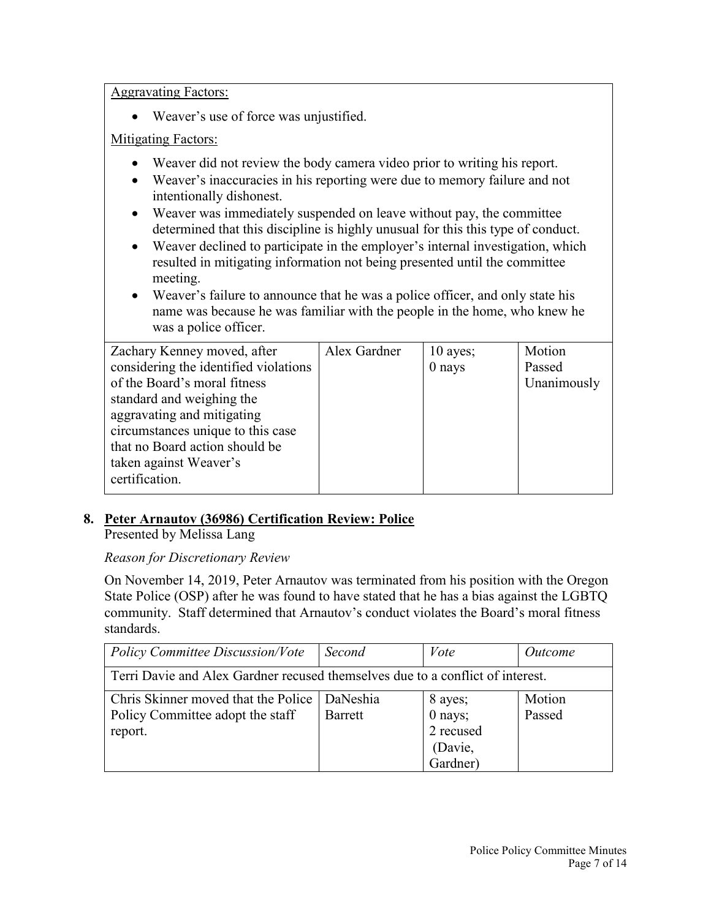Aggravating Factors:

• Weaver's use of force was unjustified.

## Mitigating Factors:

- Weaver did not review the body camera video prior to writing his report.
- Weaver's inaccuracies in his reporting were due to memory failure and not intentionally dishonest.
- Weaver was immediately suspended on leave without pay, the committee determined that this discipline is highly unusual for this this type of conduct.
- Weaver declined to participate in the employer's internal investigation, which resulted in mitigating information not being presented until the committee meeting.
- Weaver's failure to announce that he was a police officer, and only state his name was because he was familiar with the people in the home, who knew he was a police officer.

| Zachary Kenney moved, after           | Alex Gardner | $10$ ayes; | Motion      |
|---------------------------------------|--------------|------------|-------------|
| considering the identified violations |              | 0 nays     | Passed      |
| of the Board's moral fitness          |              |            | Unanimously |
| standard and weighing the             |              |            |             |
| aggravating and mitigating            |              |            |             |
| circumstances unique to this case     |              |            |             |
| that no Board action should be        |              |            |             |
| taken against Weaver's                |              |            |             |
| certification.                        |              |            |             |
|                                       |              |            |             |

# **8. Peter Arnautov (36986) Certification Review: Police**

Presented by Melissa Lang

# *Reason for Discretionary Review*

On November 14, 2019, Peter Arnautov was terminated from his position with the Oregon State Police (OSP) after he was found to have stated that he has a bias against the LGBTQ community. Staff determined that Arnautov's conduct violates the Board's moral fitness standards.

| <b>Policy Committee Discussion/Vote</b>                                        | Second   | Vote      | Outcome |  |
|--------------------------------------------------------------------------------|----------|-----------|---------|--|
| Terri Davie and Alex Gardner recused themselves due to a conflict of interest. |          |           |         |  |
| Chris Skinner moved that the Police                                            | DaNeshia | 8 ayes;   | Motion  |  |
| Policy Committee adopt the staff                                               | Barrett  | $0$ nays; | Passed  |  |
| report.                                                                        |          | 2 recused |         |  |
|                                                                                |          | (Davie,   |         |  |
|                                                                                |          | Gardner)  |         |  |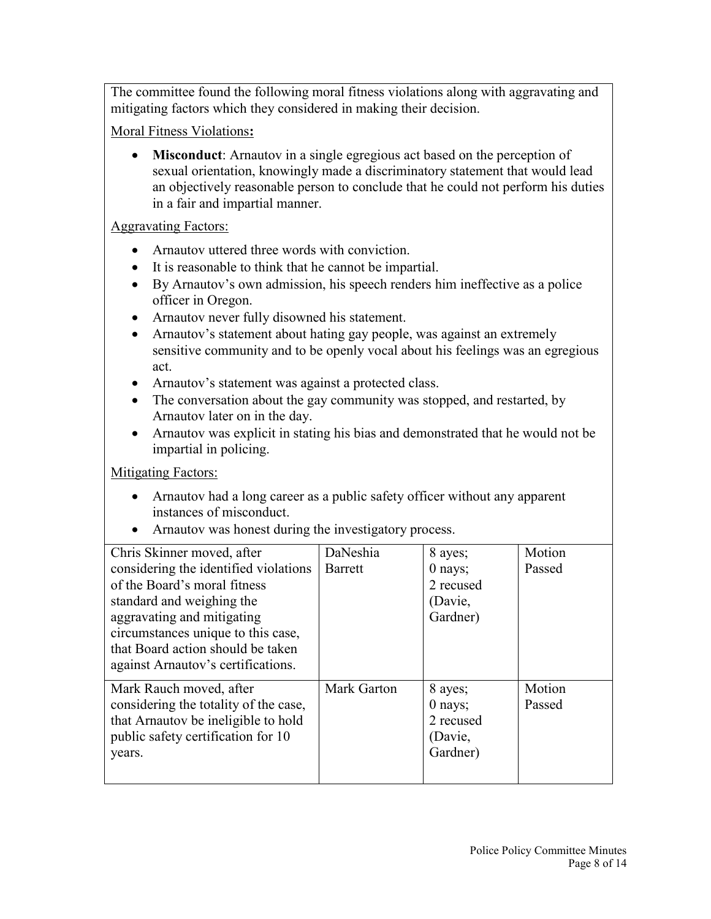The committee found the following moral fitness violations along with aggravating and mitigating factors which they considered in making their decision.

Moral Fitness Violations**:**

• **Misconduct**: Arnautov in a single egregious act based on the perception of sexual orientation, knowingly made a discriminatory statement that would lead an objectively reasonable person to conclude that he could not perform his duties in a fair and impartial manner.

Aggravating Factors:

- Arnautov uttered three words with conviction.
- It is reasonable to think that he cannot be impartial.
- By Arnautov's own admission, his speech renders him ineffective as a police officer in Oregon.
- Arnautov never fully disowned his statement.
- Arnautov's statement about hating gay people, was against an extremely sensitive community and to be openly vocal about his feelings was an egregious act.
- Arnautov's statement was against a protected class.
- The conversation about the gay community was stopped, and restarted, by Arnautov later on in the day.
- Arnautov was explicit in stating his bias and demonstrated that he would not be impartial in policing.

**Mitigating Factors:** 

- Arnautov had a long career as a public safety officer without any apparent instances of misconduct.
- Arnautov was honest during the investigatory process.

| Chris Skinner moved, after            | DaNeshia    | 8 ayes;   | Motion |
|---------------------------------------|-------------|-----------|--------|
| considering the identified violations | Barrett     | $0$ nays; | Passed |
| of the Board's moral fitness          |             | 2 recused |        |
| standard and weighing the             |             | (Davie,   |        |
| aggravating and mitigating            |             | Gardner)  |        |
| circumstances unique to this case,    |             |           |        |
| that Board action should be taken     |             |           |        |
| against Arnautov's certifications.    |             |           |        |
| Mark Rauch moved, after               | Mark Garton | 8 ayes;   | Motion |
| considering the totality of the case, |             | $0$ nays; | Passed |
| that Arnautov be ineligible to hold   |             | 2 recused |        |
| public safety certification for 10    |             | (Davie,   |        |
| years.                                |             | Gardner)  |        |
|                                       |             |           |        |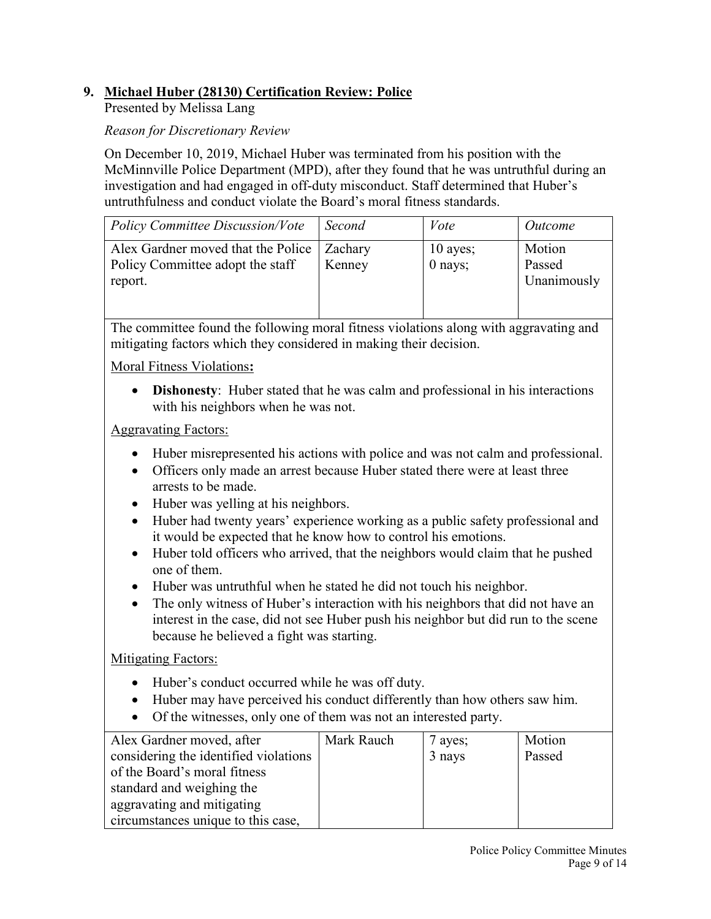# **9. Michael Huber (28130) Certification Review: Police**

Presented by Melissa Lang

#### *Reason for Discretionary Review*

On December 10, 2019, Michael Huber was terminated from his position with the McMinnville Police Department (MPD), after they found that he was untruthful during an investigation and had engaged in off-duty misconduct. Staff determined that Huber's untruthfulness and conduct violate the Board's moral fitness standards.

| <b>Policy Committee Discussion/Vote</b>                                           | Second            | Vote                  | Outcome                         |
|-----------------------------------------------------------------------------------|-------------------|-----------------------|---------------------------------|
| Alex Gardner moved that the Police<br>Policy Committee adopt the staff<br>report. | Zachary<br>Kenney | $10$ ayes;<br>0 nays; | Motion<br>Passed<br>Unanimously |

The committee found the following moral fitness violations along with aggravating and mitigating factors which they considered in making their decision.

Moral Fitness Violations**:**

• **Dishonesty**: Huber stated that he was calm and professional in his interactions with his neighbors when he was not.

Aggravating Factors:

- Huber misrepresented his actions with police and was not calm and professional.
- Officers only made an arrest because Huber stated there were at least three arrests to be made.
- Huber was yelling at his neighbors.
- Huber had twenty years' experience working as a public safety professional and it would be expected that he know how to control his emotions.
- Huber told officers who arrived, that the neighbors would claim that he pushed one of them.
- Huber was untruthful when he stated he did not touch his neighbor.
- The only witness of Huber's interaction with his neighbors that did not have an interest in the case, did not see Huber push his neighbor but did run to the scene because he believed a fight was starting.

Mitigating Factors:

- Huber's conduct occurred while he was off duty.
- Huber may have perceived his conduct differently than how others saw him.
- Of the witnesses, only one of them was not an interested party.

| Alex Gardner moved, after             | Mark Rauch | 7 ayes; | Motion |
|---------------------------------------|------------|---------|--------|
| considering the identified violations |            | 3 nays  | Passed |
| of the Board's moral fitness          |            |         |        |
| standard and weighing the             |            |         |        |
| aggravating and mitigating            |            |         |        |
| circumstances unique to this case,    |            |         |        |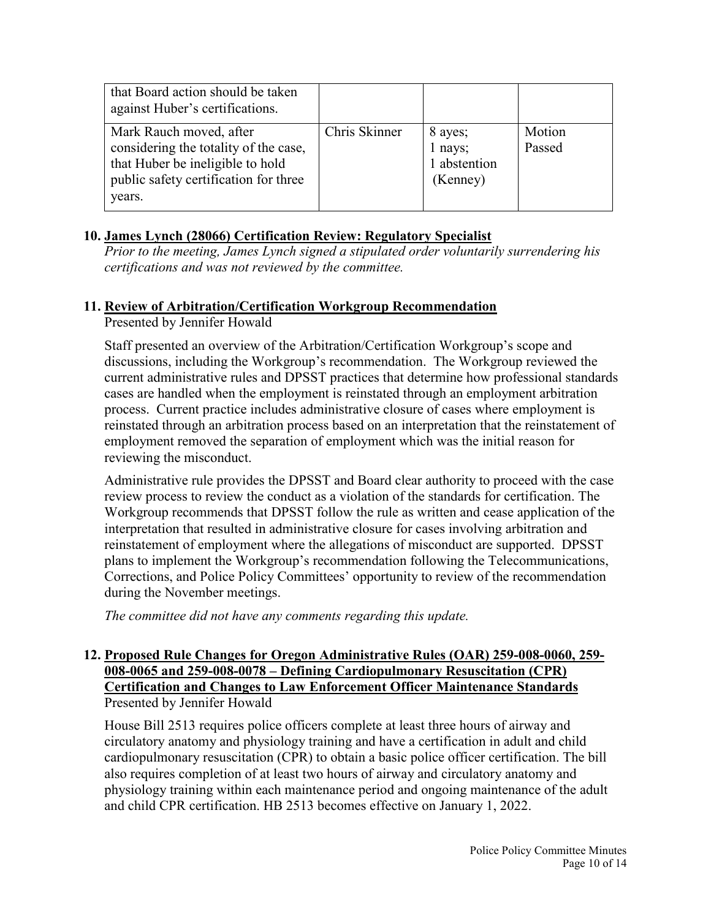| that Board action should be taken<br>against Huber's certifications.                                                                                    |               |                                                |                  |
|---------------------------------------------------------------------------------------------------------------------------------------------------------|---------------|------------------------------------------------|------------------|
| Mark Rauch moved, after<br>considering the totality of the case,<br>that Huber be ineligible to hold<br>public safety certification for three<br>years. | Chris Skinner | 8 ayes;<br>1 nays;<br>1 abstention<br>(Kenney) | Motion<br>Passed |

#### **10. James Lynch (28066) Certification Review: Regulatory Specialist**

*Prior to the meeting, James Lynch signed a stipulated order voluntarily surrendering his certifications and was not reviewed by the committee.*

#### **11. Review of Arbitration/Certification Workgroup Recommendation**

Presented by Jennifer Howald

Staff presented an overview of the Arbitration/Certification Workgroup's scope and discussions, including the Workgroup's recommendation. The Workgroup reviewed the current administrative rules and DPSST practices that determine how professional standards cases are handled when the employment is reinstated through an employment arbitration process. Current practice includes administrative closure of cases where employment is reinstated through an arbitration process based on an interpretation that the reinstatement of employment removed the separation of employment which was the initial reason for reviewing the misconduct.

Administrative rule provides the DPSST and Board clear authority to proceed with the case review process to review the conduct as a violation of the standards for certification. The Workgroup recommends that DPSST follow the rule as written and cease application of the interpretation that resulted in administrative closure for cases involving arbitration and reinstatement of employment where the allegations of misconduct are supported. DPSST plans to implement the Workgroup's recommendation following the Telecommunications, Corrections, and Police Policy Committees' opportunity to review of the recommendation during the November meetings.

*The committee did not have any comments regarding this update.*

#### **12. Proposed Rule Changes for Oregon Administrative Rules (OAR) 259-008-0060, 259- 008-0065 and 259-008-0078 – Defining Cardiopulmonary Resuscitation (CPR) Certification and Changes to Law Enforcement Officer Maintenance Standards** Presented by Jennifer Howald

House Bill 2513 requires police officers complete at least three hours of airway and circulatory anatomy and physiology training and have a certification in adult and child cardiopulmonary resuscitation (CPR) to obtain a basic police officer certification. The bill also requires completion of at least two hours of airway and circulatory anatomy and physiology training within each maintenance period and ongoing maintenance of the adult and child CPR certification. HB 2513 becomes effective on January 1, 2022.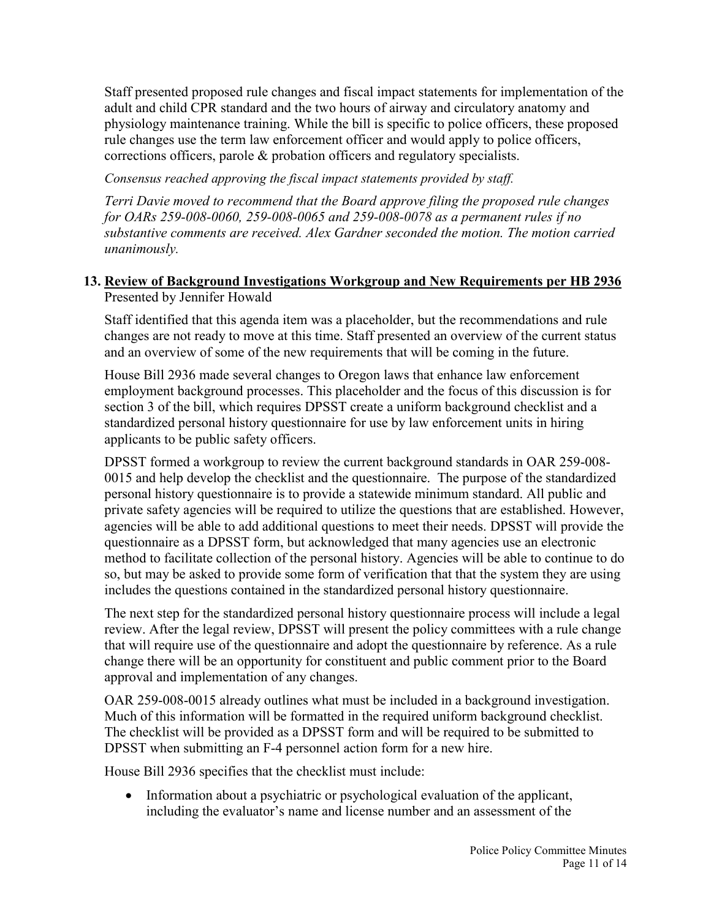Staff presented proposed rule changes and fiscal impact statements for implementation of the adult and child CPR standard and the two hours of airway and circulatory anatomy and physiology maintenance training. While the bill is specific to police officers, these proposed rule changes use the term law enforcement officer and would apply to police officers, corrections officers, parole & probation officers and regulatory specialists.

*Consensus reached approving the fiscal impact statements provided by staff.*

*Terri Davie moved to recommend that the Board approve filing the proposed rule changes for OARs 259-008-0060, 259-008-0065 and 259-008-0078 as a permanent rules if no substantive comments are received. Alex Gardner seconded the motion. The motion carried unanimously.*

## **13. Review of Background Investigations Workgroup and New Requirements per HB 2936** Presented by Jennifer Howald

Staff identified that this agenda item was a placeholder, but the recommendations and rule changes are not ready to move at this time. Staff presented an overview of the current status and an overview of some of the new requirements that will be coming in the future.

House Bill 2936 made several changes to Oregon laws that enhance law enforcement employment background processes. This placeholder and the focus of this discussion is for section 3 of the bill, which requires DPSST create a uniform background checklist and a standardized personal history questionnaire for use by law enforcement units in hiring applicants to be public safety officers.

DPSST formed a workgroup to review the current background standards in OAR 259-008- 0015 and help develop the checklist and the questionnaire. The purpose of the standardized personal history questionnaire is to provide a statewide minimum standard. All public and private safety agencies will be required to utilize the questions that are established. However, agencies will be able to add additional questions to meet their needs. DPSST will provide the questionnaire as a DPSST form, but acknowledged that many agencies use an electronic method to facilitate collection of the personal history. Agencies will be able to continue to do so, but may be asked to provide some form of verification that that the system they are using includes the questions contained in the standardized personal history questionnaire.

The next step for the standardized personal history questionnaire process will include a legal review. After the legal review, DPSST will present the policy committees with a rule change that will require use of the questionnaire and adopt the questionnaire by reference. As a rule change there will be an opportunity for constituent and public comment prior to the Board approval and implementation of any changes.

OAR 259-008-0015 already outlines what must be included in a background investigation. Much of this information will be formatted in the required uniform background checklist. The checklist will be provided as a DPSST form and will be required to be submitted to DPSST when submitting an F-4 personnel action form for a new hire.

House Bill 2936 specifies that the checklist must include:

• Information about a psychiatric or psychological evaluation of the applicant, including the evaluator's name and license number and an assessment of the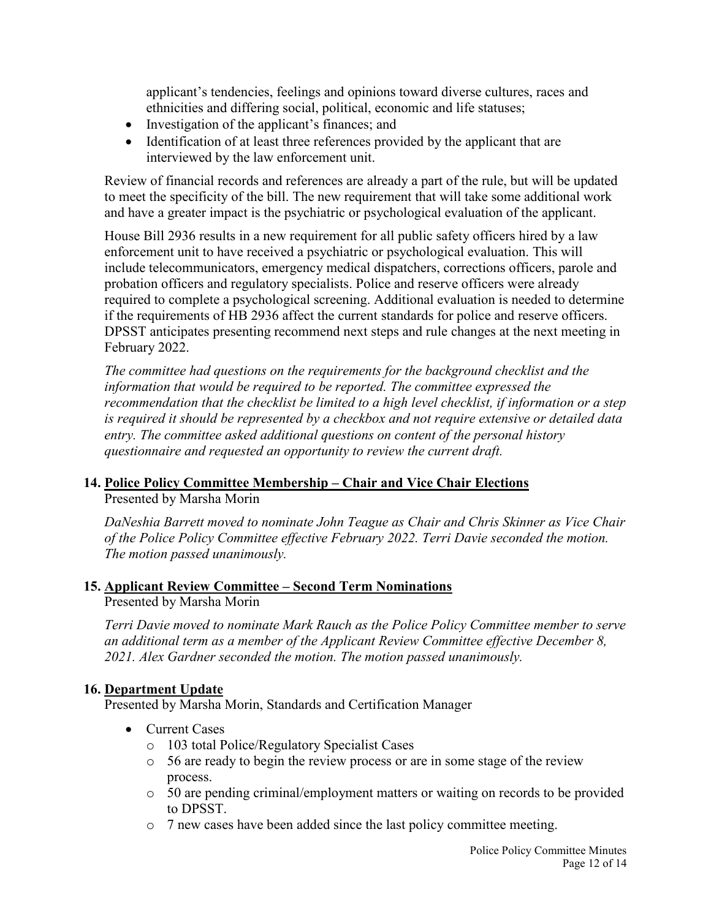applicant's tendencies, feelings and opinions toward diverse cultures, races and ethnicities and differing social, political, economic and life statuses;

- Investigation of the applicant's finances; and
- Identification of at least three references provided by the applicant that are interviewed by the law enforcement unit.

Review of financial records and references are already a part of the rule, but will be updated to meet the specificity of the bill. The new requirement that will take some additional work and have a greater impact is the psychiatric or psychological evaluation of the applicant.

House Bill 2936 results in a new requirement for all public safety officers hired by a law enforcement unit to have received a psychiatric or psychological evaluation. This will include telecommunicators, emergency medical dispatchers, corrections officers, parole and probation officers and regulatory specialists. Police and reserve officers were already required to complete a psychological screening. Additional evaluation is needed to determine if the requirements of HB 2936 affect the current standards for police and reserve officers. DPSST anticipates presenting recommend next steps and rule changes at the next meeting in February 2022.

*The committee had questions on the requirements for the background checklist and the information that would be required to be reported. The committee expressed the recommendation that the checklist be limited to a high level checklist, if information or a step is required it should be represented by a checkbox and not require extensive or detailed data entry. The committee asked additional questions on content of the personal history questionnaire and requested an opportunity to review the current draft.* 

# **14. Police Policy Committee Membership – Chair and Vice Chair Elections**

Presented by Marsha Morin

*DaNeshia Barrett moved to nominate John Teague as Chair and Chris Skinner as Vice Chair of the Police Policy Committee effective February 2022. Terri Davie seconded the motion. The motion passed unanimously.*

# **15. Applicant Review Committee – Second Term Nominations**

Presented by Marsha Morin

*Terri Davie moved to nominate Mark Rauch as the Police Policy Committee member to serve an additional term as a member of the Applicant Review Committee effective December 8, 2021. Alex Gardner seconded the motion. The motion passed unanimously.*

# **16. Department Update**

Presented by Marsha Morin, Standards and Certification Manager

- Current Cases
	- o 103 total Police/Regulatory Specialist Cases
	- o 56 are ready to begin the review process or are in some stage of the review process.
	- o 50 are pending criminal/employment matters or waiting on records to be provided to DPSST.
	- o 7 new cases have been added since the last policy committee meeting.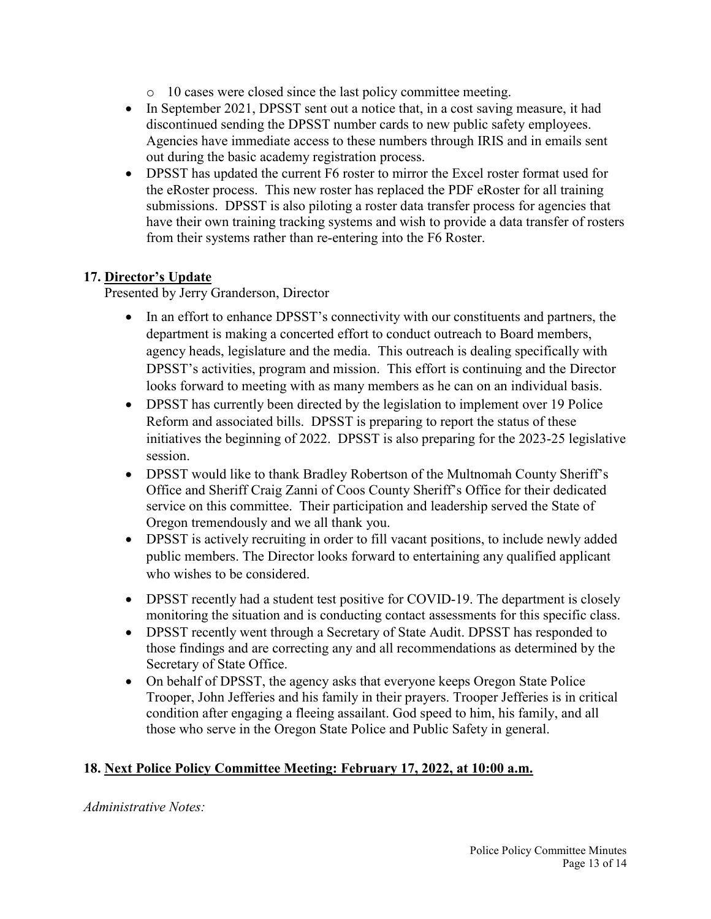- o 10 cases were closed since the last policy committee meeting.
- In September 2021, DPSST sent out a notice that, in a cost saving measure, it had discontinued sending the DPSST number cards to new public safety employees. Agencies have immediate access to these numbers through IRIS and in emails sent out during the basic academy registration process.
- DPSST has updated the current F6 roster to mirror the Excel roster format used for the eRoster process. This new roster has replaced the PDF eRoster for all training submissions. DPSST is also piloting a roster data transfer process for agencies that have their own training tracking systems and wish to provide a data transfer of rosters from their systems rather than re-entering into the F6 Roster.

#### **17. Director's Update**

Presented by Jerry Granderson, Director

- In an effort to enhance DPSST's connectivity with our constituents and partners, the department is making a concerted effort to conduct outreach to Board members, agency heads, legislature and the media. This outreach is dealing specifically with DPSST's activities, program and mission. This effort is continuing and the Director looks forward to meeting with as many members as he can on an individual basis.
- DPSST has currently been directed by the legislation to implement over 19 Police Reform and associated bills. DPSST is preparing to report the status of these initiatives the beginning of 2022. DPSST is also preparing for the 2023-25 legislative session.
- DPSST would like to thank Bradley Robertson of the Multnomah County Sheriff's Office and Sheriff Craig Zanni of Coos County Sheriff's Office for their dedicated service on this committee. Their participation and leadership served the State of Oregon tremendously and we all thank you.
- DPSST is actively recruiting in order to fill vacant positions, to include newly added public members. The Director looks forward to entertaining any qualified applicant who wishes to be considered.
- DPSST recently had a student test positive for COVID-19. The department is closely monitoring the situation and is conducting contact assessments for this specific class.
- DPSST recently went through a Secretary of State Audit. DPSST has responded to those findings and are correcting any and all recommendations as determined by the Secretary of State Office.
- On behalf of DPSST, the agency asks that everyone keeps Oregon State Police Trooper, John Jefferies and his family in their prayers. Trooper Jefferies is in critical condition after engaging a fleeing assailant. God speed to him, his family, and all those who serve in the Oregon State Police and Public Safety in general.

#### **18. Next Police Policy Committee Meeting: February 17, 2022, at 10:00 a.m.**

*Administrative Notes:*